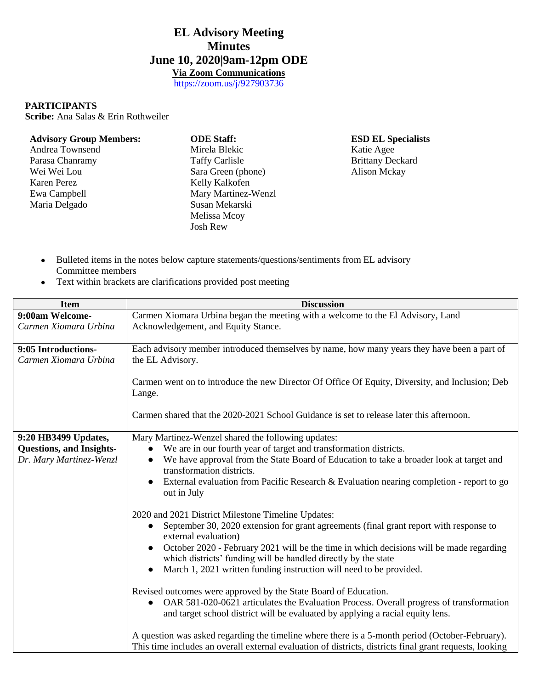## **EL Advisory Meeting Minutes June 10, 2020|9am-12pm ODE Via Zoom Communications**

<https://zoom.us/j/927903736>

## **PARTICIPANTS**

**Scribe:** Ana Salas & Erin Rothweiler

| <b>Advisory Group Members:</b> | <b>ODE Staff:</b>     | <b>ESD EL Specialists</b> |
|--------------------------------|-----------------------|---------------------------|
| Andrea Townsend                | Mirela Blekic         | Katie Agee                |
| Parasa Chanramy                | <b>Taffy Carlisle</b> | <b>Brittany Deckard</b>   |
| Wei Wei Lou                    | Sara Green (phone)    | <b>Alison Mckay</b>       |
| Karen Perez                    | Kelly Kalkofen        |                           |
| Ewa Campbell                   | Mary Martinez-Wenzl   |                           |
| Maria Delgado                  | Susan Mekarski        |                           |
|                                | Melissa Mcoy          |                           |
|                                | Josh Rew              |                           |

- Bulleted items in the notes below capture statements/questions/sentiments from EL advisory Committee members
- Text within brackets are clarifications provided post meeting

| <b>Item</b>                                  | <b>Discussion</b>                                                                                                                                                                                          |
|----------------------------------------------|------------------------------------------------------------------------------------------------------------------------------------------------------------------------------------------------------------|
| 9:00am Welcome-                              | Carmen Xiomara Urbina began the meeting with a welcome to the El Advisory, Land                                                                                                                            |
| Carmen Xiomara Urbina                        | Acknowledgement, and Equity Stance.                                                                                                                                                                        |
| 9:05 Introductions-<br>Carmen Xiomara Urbina | Each advisory member introduced themselves by name, how many years they have been a part of<br>the EL Advisory.                                                                                            |
|                                              | Carmen went on to introduce the new Director Of Office Of Equity, Diversity, and Inclusion; Deb<br>Lange.                                                                                                  |
|                                              | Carmen shared that the 2020-2021 School Guidance is set to release later this afternoon.                                                                                                                   |
| 9:20 HB3499 Updates,                         | Mary Martinez-Wenzel shared the following updates:                                                                                                                                                         |
| <b>Questions, and Insights-</b>              | We are in our fourth year of target and transformation districts.<br>$\bullet$                                                                                                                             |
| Dr. Mary Martinez-Wenzl                      | We have approval from the State Board of Education to take a broader look at target and<br>$\bullet$<br>transformation districts.                                                                          |
|                                              | External evaluation from Pacific Research & Evaluation nearing completion - report to go<br>out in July                                                                                                    |
|                                              | 2020 and 2021 District Milestone Timeline Updates:                                                                                                                                                         |
|                                              | September 30, 2020 extension for grant agreements (final grant report with response to<br>$\bullet$<br>external evaluation)                                                                                |
|                                              | October 2020 - February 2021 will be the time in which decisions will be made regarding<br>which districts' funding will be handled directly by the state                                                  |
|                                              | March 1, 2021 written funding instruction will need to be provided.                                                                                                                                        |
|                                              | Revised outcomes were approved by the State Board of Education.                                                                                                                                            |
|                                              | OAR 581-020-0621 articulates the Evaluation Process. Overall progress of transformation<br>$\bullet$<br>and target school district will be evaluated by applying a racial equity lens.                     |
|                                              | A question was asked regarding the timeline where there is a 5-month period (October-February).<br>This time includes an overall external evaluation of districts, districts final grant requests, looking |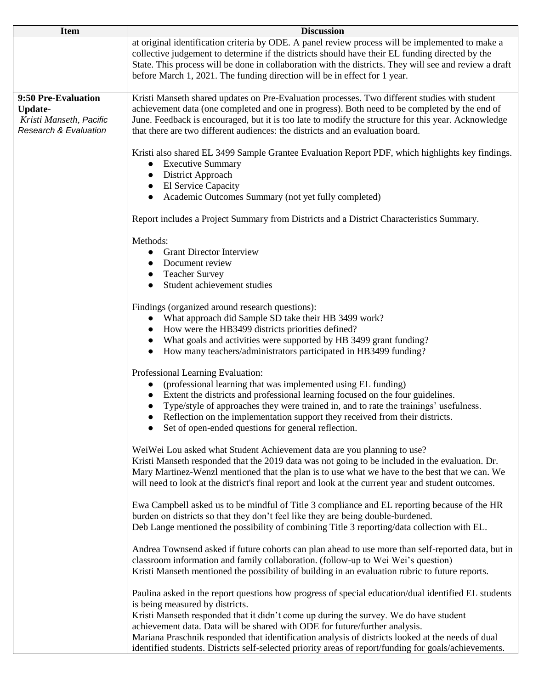| <b>Item</b>                                                                                          | <b>Discussion</b>                                                                                                                                                                                                                                                                                                                                                                                                    |  |
|------------------------------------------------------------------------------------------------------|----------------------------------------------------------------------------------------------------------------------------------------------------------------------------------------------------------------------------------------------------------------------------------------------------------------------------------------------------------------------------------------------------------------------|--|
|                                                                                                      | at original identification criteria by ODE. A panel review process will be implemented to make a<br>collective judgement to determine if the districts should have their EL funding directed by the<br>State. This process will be done in collaboration with the districts. They will see and review a draft<br>before March 1, 2021. The funding direction will be in effect for 1 year.                           |  |
| 9:50 Pre-Evaluation<br><b>Update-</b><br>Kristi Manseth, Pacific<br><b>Research &amp; Evaluation</b> | Kristi Manseth shared updates on Pre-Evaluation processes. Two different studies with student<br>achievement data (one completed and one in progress). Both need to be completed by the end of<br>June. Feedback is encouraged, but it is too late to modify the structure for this year. Acknowledge<br>that there are two different audiences: the districts and an evaluation board.                              |  |
|                                                                                                      | Kristi also shared EL 3499 Sample Grantee Evaluation Report PDF, which highlights key findings.<br><b>Executive Summary</b><br>$\bullet$<br>District Approach<br><b>El Service Capacity</b><br>$\bullet$<br>Academic Outcomes Summary (not yet fully completed)                                                                                                                                                      |  |
|                                                                                                      | Report includes a Project Summary from Districts and a District Characteristics Summary.                                                                                                                                                                                                                                                                                                                             |  |
|                                                                                                      | Methods:<br><b>Grant Director Interview</b><br>$\bullet$<br>Document review<br>$\bullet$<br><b>Teacher Survey</b><br>$\bullet$<br>Student achievement studies                                                                                                                                                                                                                                                        |  |
|                                                                                                      | Findings (organized around research questions):<br>What approach did Sample SD take their HB 3499 work?<br>How were the HB3499 districts priorities defined?<br>What goals and activities were supported by HB 3499 grant funding?<br>How many teachers/administrators participated in HB3499 funding?                                                                                                               |  |
|                                                                                                      | Professional Learning Evaluation:<br>(professional learning that was implemented using EL funding)<br>Extent the districts and professional learning focused on the four guidelines.<br>Type/style of approaches they were trained in, and to rate the trainings' usefulness.<br>Reflection on the implementation support they received from their districts.<br>Set of open-ended questions for general reflection. |  |
|                                                                                                      | WeiWei Lou asked what Student Achievement data are you planning to use?<br>Kristi Manseth responded that the 2019 data was not going to be included in the evaluation. Dr.<br>Mary Martinez-Wenzl mentioned that the plan is to use what we have to the best that we can. We<br>will need to look at the district's final report and look at the current year and student outcomes.                                  |  |
|                                                                                                      | Ewa Campbell asked us to be mindful of Title 3 compliance and EL reporting because of the HR<br>burden on districts so that they don't feel like they are being double-burdened.<br>Deb Lange mentioned the possibility of combining Title 3 reporting/data collection with EL.                                                                                                                                      |  |
|                                                                                                      | Andrea Townsend asked if future cohorts can plan ahead to use more than self-reported data, but in<br>classroom information and family collaboration. (follow-up to Wei Wei's question)<br>Kristi Manseth mentioned the possibility of building in an evaluation rubric to future reports.                                                                                                                           |  |
|                                                                                                      | Paulina asked in the report questions how progress of special education/dual identified EL students<br>is being measured by districts.<br>Kristi Manseth responded that it didn't come up during the survey. We do have student<br>achievement data. Data will be shared with ODE for future/further analysis.<br>Mariana Praschnik responded that identification analysis of districts looked at the needs of dual  |  |
|                                                                                                      | identified students. Districts self-selected priority areas of report/funding for goals/achievements.                                                                                                                                                                                                                                                                                                                |  |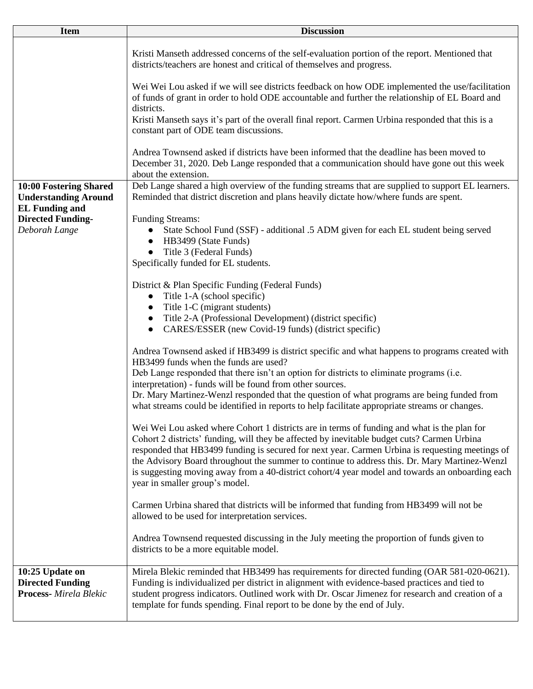| <b>Item</b>                                                                    | <b>Discussion</b>                                                                                                                                                                                                                                                                                                                                                                                                                                                                                                                   |
|--------------------------------------------------------------------------------|-------------------------------------------------------------------------------------------------------------------------------------------------------------------------------------------------------------------------------------------------------------------------------------------------------------------------------------------------------------------------------------------------------------------------------------------------------------------------------------------------------------------------------------|
|                                                                                | Kristi Manseth addressed concerns of the self-evaluation portion of the report. Mentioned that<br>districts/teachers are honest and critical of themselves and progress.                                                                                                                                                                                                                                                                                                                                                            |
|                                                                                | Wei Wei Lou asked if we will see districts feedback on how ODE implemented the use/facilitation<br>of funds of grant in order to hold ODE accountable and further the relationship of EL Board and<br>districts.                                                                                                                                                                                                                                                                                                                    |
|                                                                                | Kristi Manseth says it's part of the overall final report. Carmen Urbina responded that this is a<br>constant part of ODE team discussions.                                                                                                                                                                                                                                                                                                                                                                                         |
|                                                                                | Andrea Townsend asked if districts have been informed that the deadline has been moved to<br>December 31, 2020. Deb Lange responded that a communication should have gone out this week<br>about the extension.                                                                                                                                                                                                                                                                                                                     |
| 10:00 Fostering Shared<br><b>Understanding Around</b><br><b>EL Funding and</b> | Deb Lange shared a high overview of the funding streams that are supplied to support EL learners.<br>Reminded that district discretion and plans heavily dictate how/where funds are spent.                                                                                                                                                                                                                                                                                                                                         |
| <b>Directed Funding-</b><br>Deborah Lange                                      | <b>Funding Streams:</b><br>State School Fund (SSF) - additional .5 ADM given for each EL student being served<br>$\bullet$<br>HB3499 (State Funds)<br>$\bullet$<br>Title 3 (Federal Funds)<br>Specifically funded for EL students.                                                                                                                                                                                                                                                                                                  |
|                                                                                | District & Plan Specific Funding (Federal Funds)<br>Title 1-A (school specific)<br>$\bullet$<br>Title 1-C (migrant students)<br>$\bullet$<br>Title 2-A (Professional Development) (district specific)<br>CARES/ESSER (new Covid-19 funds) (district specific)                                                                                                                                                                                                                                                                       |
|                                                                                | Andrea Townsend asked if HB3499 is district specific and what happens to programs created with<br>HB3499 funds when the funds are used?<br>Deb Lange responded that there isn't an option for districts to eliminate programs (i.e.<br>interpretation) - funds will be found from other sources.<br>Dr. Mary Martinez-Wenzl responded that the question of what programs are being funded from<br>what streams could be identified in reports to help facilitate appropriate streams or changes.                                    |
|                                                                                | Wei Wei Lou asked where Cohort 1 districts are in terms of funding and what is the plan for<br>Cohort 2 districts' funding, will they be affected by inevitable budget cuts? Carmen Urbina<br>responded that HB3499 funding is secured for next year. Carmen Urbina is requesting meetings of<br>the Advisory Board throughout the summer to continue to address this. Dr. Mary Martinez-Wenzl<br>is suggesting moving away from a 40-district cohort/4 year model and towards an onboarding each<br>year in smaller group's model. |
|                                                                                | Carmen Urbina shared that districts will be informed that funding from HB3499 will not be<br>allowed to be used for interpretation services.                                                                                                                                                                                                                                                                                                                                                                                        |
|                                                                                | Andrea Townsend requested discussing in the July meeting the proportion of funds given to<br>districts to be a more equitable model.                                                                                                                                                                                                                                                                                                                                                                                                |
| 10:25 Update on<br><b>Directed Funding</b><br><b>Process-</b> Mirela Blekic    | Mirela Blekic reminded that HB3499 has requirements for directed funding (OAR 581-020-0621).<br>Funding is individualized per district in alignment with evidence-based practices and tied to<br>student progress indicators. Outlined work with Dr. Oscar Jimenez for research and creation of a<br>template for funds spending. Final report to be done by the end of July.                                                                                                                                                       |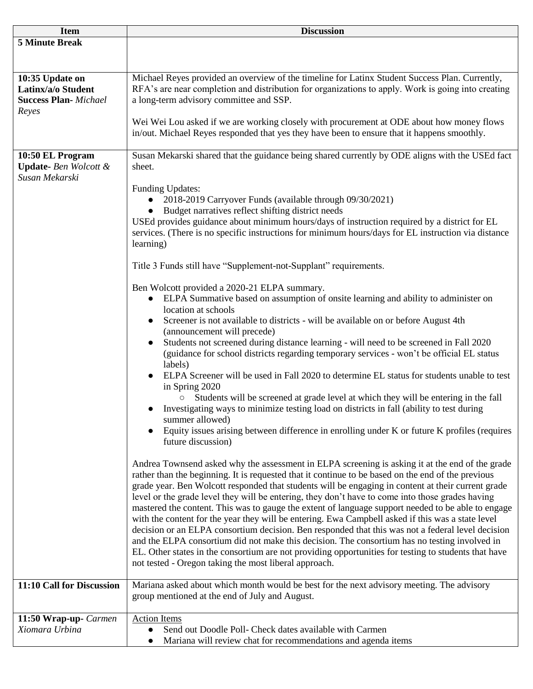| <b>Item</b>                                                                    | <b>Discussion</b>                                                                                                                                                                                                                                                                                                                                                                                                                                                                                                                                                                                                                                                                                                                                                                                                                                                                                                                                                                                                                                                                                                                                                                                                                                                                                                                                                                                                                                                                                                                                                                                                                                                                                                                                                                                                                                                                                                                                                                                                                                                                                                                                                                                                                                                                                                         |
|--------------------------------------------------------------------------------|---------------------------------------------------------------------------------------------------------------------------------------------------------------------------------------------------------------------------------------------------------------------------------------------------------------------------------------------------------------------------------------------------------------------------------------------------------------------------------------------------------------------------------------------------------------------------------------------------------------------------------------------------------------------------------------------------------------------------------------------------------------------------------------------------------------------------------------------------------------------------------------------------------------------------------------------------------------------------------------------------------------------------------------------------------------------------------------------------------------------------------------------------------------------------------------------------------------------------------------------------------------------------------------------------------------------------------------------------------------------------------------------------------------------------------------------------------------------------------------------------------------------------------------------------------------------------------------------------------------------------------------------------------------------------------------------------------------------------------------------------------------------------------------------------------------------------------------------------------------------------------------------------------------------------------------------------------------------------------------------------------------------------------------------------------------------------------------------------------------------------------------------------------------------------------------------------------------------------------------------------------------------------------------------------------------------------|
| <b>5 Minute Break</b>                                                          |                                                                                                                                                                                                                                                                                                                                                                                                                                                                                                                                                                                                                                                                                                                                                                                                                                                                                                                                                                                                                                                                                                                                                                                                                                                                                                                                                                                                                                                                                                                                                                                                                                                                                                                                                                                                                                                                                                                                                                                                                                                                                                                                                                                                                                                                                                                           |
| 10:35 Update on<br>Latinx/a/o Student<br><b>Success Plan-</b> Michael<br>Reyes | Michael Reyes provided an overview of the timeline for Latinx Student Success Plan. Currently,<br>RFA's are near completion and distribution for organizations to apply. Work is going into creating<br>a long-term advisory committee and SSP.                                                                                                                                                                                                                                                                                                                                                                                                                                                                                                                                                                                                                                                                                                                                                                                                                                                                                                                                                                                                                                                                                                                                                                                                                                                                                                                                                                                                                                                                                                                                                                                                                                                                                                                                                                                                                                                                                                                                                                                                                                                                           |
|                                                                                | Wei Wei Lou asked if we are working closely with procurement at ODE about how money flows<br>in/out. Michael Reyes responded that yes they have been to ensure that it happens smoothly.                                                                                                                                                                                                                                                                                                                                                                                                                                                                                                                                                                                                                                                                                                                                                                                                                                                                                                                                                                                                                                                                                                                                                                                                                                                                                                                                                                                                                                                                                                                                                                                                                                                                                                                                                                                                                                                                                                                                                                                                                                                                                                                                  |
| 10:50 EL Program<br>Update-Ben Wolcott &<br>Susan Mekarski                     | Susan Mekarski shared that the guidance being shared currently by ODE aligns with the USEd fact<br>sheet.                                                                                                                                                                                                                                                                                                                                                                                                                                                                                                                                                                                                                                                                                                                                                                                                                                                                                                                                                                                                                                                                                                                                                                                                                                                                                                                                                                                                                                                                                                                                                                                                                                                                                                                                                                                                                                                                                                                                                                                                                                                                                                                                                                                                                 |
|                                                                                | <b>Funding Updates:</b><br>2018-2019 Carryover Funds (available through 09/30/2021)<br>Budget narratives reflect shifting district needs<br>USEd provides guidance about minimum hours/days of instruction required by a district for EL<br>services. (There is no specific instructions for minimum hours/days for EL instruction via distance<br>learning)<br>Title 3 Funds still have "Supplement-not-Supplant" requirements.<br>Ben Wolcott provided a 2020-21 ELPA summary.<br>ELPA Summative based on assumption of onsite learning and ability to administer on<br>$\bullet$<br>location at schools<br>Screener is not available to districts - will be available on or before August 4th<br>(announcement will precede)<br>Students not screened during distance learning - will need to be screened in Fall 2020<br>(guidance for school districts regarding temporary services - won't be official EL status<br>labels)<br>ELPA Screener will be used in Fall 2020 to determine EL status for students unable to test<br>in Spring 2020<br>Students will be screened at grade level at which they will be entering in the fall<br>Investigating ways to minimize testing load on districts in fall (ability to test during<br>summer allowed)<br>Equity issues arising between difference in enrolling under K or future K profiles (requires<br>future discussion)<br>Andrea Townsend asked why the assessment in ELPA screening is asking it at the end of the grade<br>rather than the beginning. It is requested that it continue to be based on the end of the previous<br>grade year. Ben Wolcott responded that students will be engaging in content at their current grade<br>level or the grade level they will be entering, they don't have to come into those grades having<br>mastered the content. This was to gauge the extent of language support needed to be able to engage<br>with the content for the year they will be entering. Ewa Campbell asked if this was a state level<br>decision or an ELPA consortium decision. Ben responded that this was not a federal level decision<br>and the ELPA consortium did not make this decision. The consortium has no testing involved in<br>EL. Other states in the consortium are not providing opportunities for testing to students that have |
| 11:10 Call for Discussion                                                      | not tested - Oregon taking the most liberal approach.                                                                                                                                                                                                                                                                                                                                                                                                                                                                                                                                                                                                                                                                                                                                                                                                                                                                                                                                                                                                                                                                                                                                                                                                                                                                                                                                                                                                                                                                                                                                                                                                                                                                                                                                                                                                                                                                                                                                                                                                                                                                                                                                                                                                                                                                     |
|                                                                                | Mariana asked about which month would be best for the next advisory meeting. The advisory<br>group mentioned at the end of July and August.                                                                                                                                                                                                                                                                                                                                                                                                                                                                                                                                                                                                                                                                                                                                                                                                                                                                                                                                                                                                                                                                                                                                                                                                                                                                                                                                                                                                                                                                                                                                                                                                                                                                                                                                                                                                                                                                                                                                                                                                                                                                                                                                                                               |
| 11:50 Wrap-up- Carmen<br>Xiomara Urbina                                        | <b>Action Items</b><br>Send out Doodle Poll- Check dates available with Carmen<br>$\bullet$<br>Mariana will review chat for recommendations and agenda items                                                                                                                                                                                                                                                                                                                                                                                                                                                                                                                                                                                                                                                                                                                                                                                                                                                                                                                                                                                                                                                                                                                                                                                                                                                                                                                                                                                                                                                                                                                                                                                                                                                                                                                                                                                                                                                                                                                                                                                                                                                                                                                                                              |